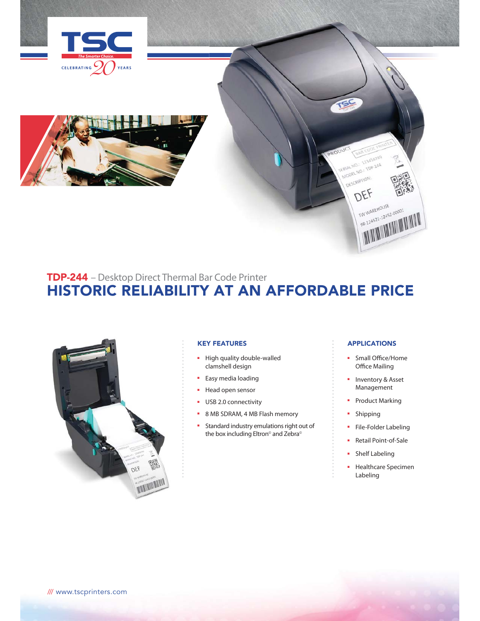



# TDP-244 – Desktop Direct Thermal Bar Code Printer HISTORIC RELIABILITY AT AN AFFORDABLE PRICE



### KEY FEATURES

- High quality double-walled clamshell design
- Easy media loading
- Head open sensor
- USB 2.0 connectivity
- 8 MB SDRAM, 4 MB Flash memory
- Standard industry emulations right out of the box including Eltron<sup>®</sup> and Zebra<sup>®</sup>

### APPLICATIONS

ISC

123456789 ERIAL NO.: 123456167<br>MODEL NO.: 10P-244 DESCRIPTION: DEF

TW WAREHOUSE TW WAREHOUSE<br>98-124521-12452-00001 IW WAREHOUSE OCCOOL

- Small Office/Home Office Mailing
- Inventory & Asset Management
- Product Marking
- Shipping
- File-Folder Labeling
- Retail Point-of-Sale
- Shelf Labeling
- Healthcare Specimen Labeling